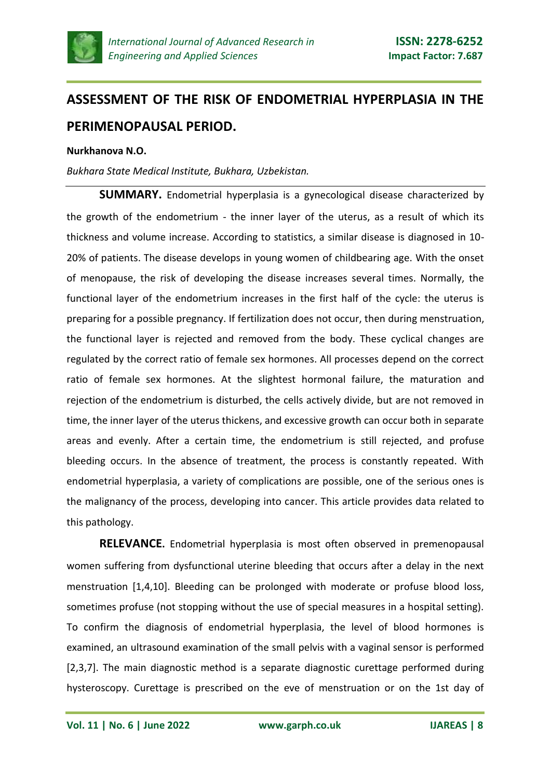

## **ASSESSMENT OF THE RISK OF ENDOMETRIAL HYPERPLASIA IN THE PERIMENOPAUSAL PERIOD.**

## **Nurkhanova N.O.**

*Bukhara State Medical Institute, Bukhara, Uzbekistan.*

**SUMMARY.** Endometrial hyperplasia is a gynecological disease characterized by the growth of the endometrium - the inner layer of the uterus, as a result of which its thickness and volume increase. According to statistics, a similar disease is diagnosed in 10- 20% of patients. The disease develops in young women of childbearing age. With the onset of menopause, the risk of developing the disease increases several times. Normally, the functional layer of the endometrium increases in the first half of the cycle: the uterus is preparing for a possible pregnancy. If fertilization does not occur, then during menstruation, the functional layer is rejected and removed from the body. These cyclical changes are regulated by the correct ratio of female sex hormones. All processes depend on the correct ratio of female sex hormones. At the slightest hormonal failure, the maturation and rejection of the endometrium is disturbed, the cells actively divide, but are not removed in time, the inner layer of the uterus thickens, and excessive growth can occur both in separate areas and evenly. After a certain time, the endometrium is still rejected, and profuse bleeding occurs. In the absence of treatment, the process is constantly repeated. With endometrial hyperplasia, a variety of complications are possible, one of the serious ones is the malignancy of the process, developing into cancer. This article provides data related to this pathology.

**RELEVANCE.** Endometrial hyperplasia is most often observed in premenopausal women suffering from dysfunctional uterine bleeding that occurs after a delay in the next menstruation [1,4,10]. Bleeding can be prolonged with moderate or profuse blood loss, sometimes profuse (not stopping without the use of special measures in a hospital setting). To confirm the diagnosis of endometrial hyperplasia, the level of blood hormones is examined, an ultrasound examination of the small pelvis with a vaginal sensor is performed [2,3,7]. The main diagnostic method is a separate diagnostic curettage performed during hysteroscopy. Curettage is prescribed on the eve of menstruation or on the 1st day of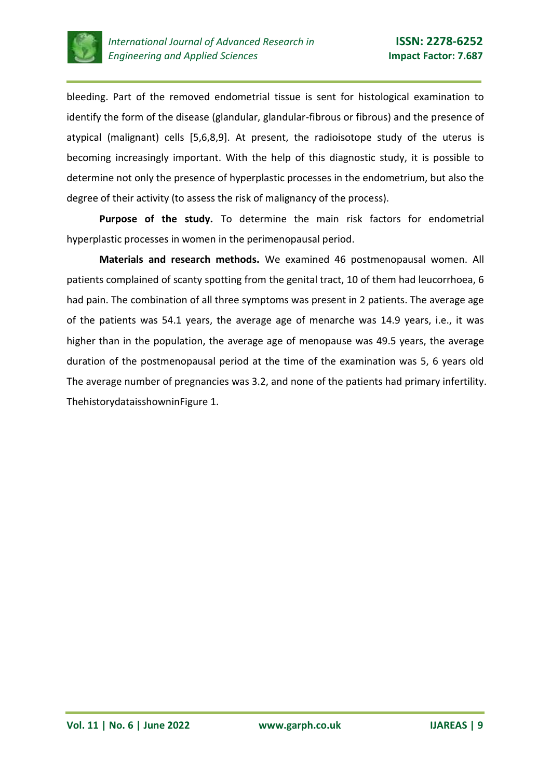

bleeding. Part of the removed endometrial tissue is sent for histological examination to identify the form of the disease (glandular, glandular-fibrous or fibrous) and the presence of atypical (malignant) cells [5,6,8,9]. At present, the radioisotope study of the uterus is becoming increasingly important. With the help of this diagnostic study, it is possible to determine not only the presence of hyperplastic processes in the endometrium, but also the degree of their activity (to assess the risk of malignancy of the process).

**Purpose of the study.** To determine the main risk factors for endometrial hyperplastic processes in women in the perimenopausal period.

**Materials and research methods.** We examined 46 postmenopausal women. All patients complained of scanty spotting from the genital tract, 10 of them had leucorrhoea, 6 had pain. The combination of all three symptoms was present in 2 patients. The average age of the patients was 54.1 years, the average age of menarche was 14.9 years, i.e., it was higher than in the population, the average age of menopause was 49.5 years, the average duration of the postmenopausal period at the time of the examination was 5, 6 years old The average number of pregnancies was 3.2, and none of the patients had primary infertility. ThehistorydataisshowninFigure 1.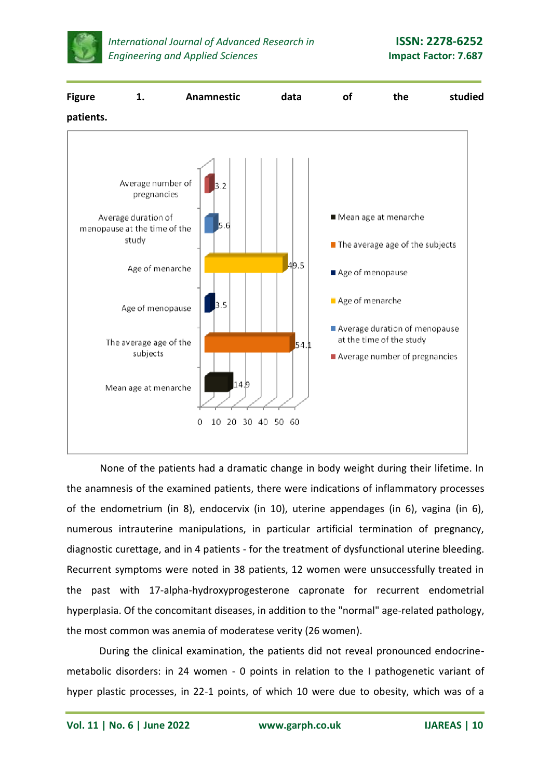



None of the patients had a dramatic change in body weight during their lifetime. In the anamnesis of the examined patients, there were indications of inflammatory processes of the endometrium (in 8), endocervix (in 10), uterine appendages (in 6), vagina (in 6), numerous intrauterine manipulations, in particular artificial termination of pregnancy, diagnostic curettage, and in 4 patients - for the treatment of dysfunctional uterine bleeding. Recurrent symptoms were noted in 38 patients, 12 women were unsuccessfully treated in the past with 17-alpha-hydroxyprogesterone capronate for recurrent endometrial hyperplasia. Of the concomitant diseases, in addition to the "normal" age-related pathology, the most common was anemia of moderatese verity (26 women).

During the clinical examination, the patients did not reveal pronounced endocrinemetabolic disorders: in 24 women - 0 points in relation to the I pathogenetic variant of hyper plastic processes, in 22-1 points, of which 10 were due to obesity, which was of a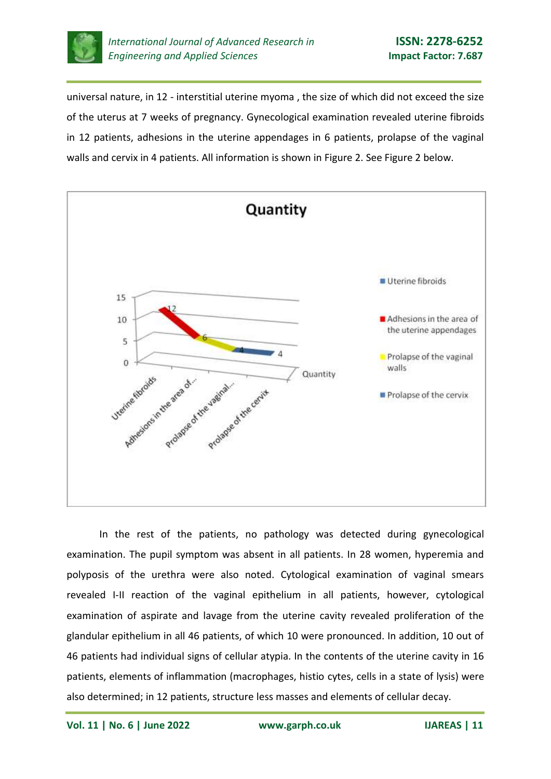

universal nature, in 12 - interstitial uterine myoma , the size of which did not exceed the size of the uterus at 7 weeks of pregnancy. Gynecological examination revealed uterine fibroids in 12 patients, adhesions in the uterine appendages in 6 patients, prolapse of the vaginal walls and cervix in 4 patients. All information is shown in Figure 2. See Figure 2 below.



In the rest of the patients, no pathology was detected during gynecological examination. The pupil symptom was absent in all patients. In 28 women, hyperemia and polyposis of the urethra were also noted. Cytological examination of vaginal smears revealed I-II reaction of the vaginal epithelium in all patients, however, cytological examination of aspirate and lavage from the uterine cavity revealed proliferation of the glandular epithelium in all 46 patients, of which 10 were pronounced. In addition, 10 out of 46 patients had individual signs of cellular atypia. In the contents of the uterine cavity in 16 patients, elements of inflammation (macrophages, histio cytes, cells in a state of lysis) were also determined; in 12 patients, structure less masses and elements of cellular decay.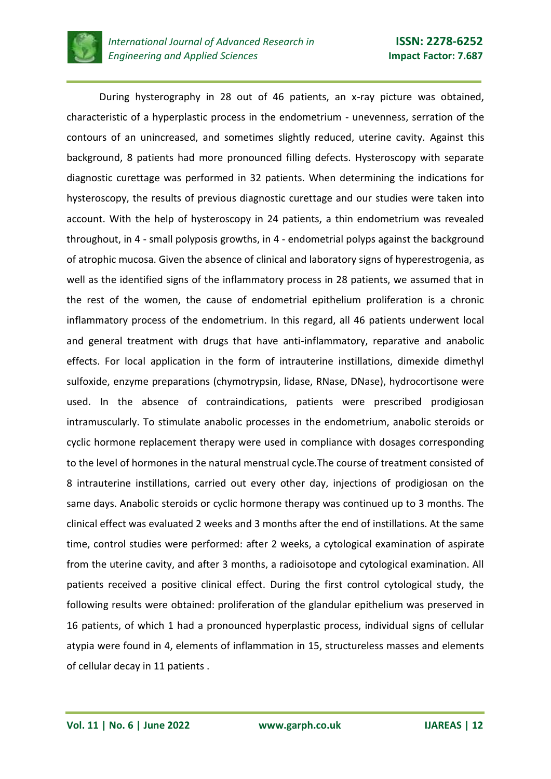

During hysterography in 28 out of 46 patients, an x-ray picture was obtained, characteristic of a hyperplastic process in the endometrium - unevenness, serration of the contours of an unincreased, and sometimes slightly reduced, uterine cavity. Against this background, 8 patients had more pronounced filling defects. Hysteroscopy with separate diagnostic curettage was performed in 32 patients. When determining the indications for hysteroscopy, the results of previous diagnostic curettage and our studies were taken into account. With the help of hysteroscopy in 24 patients, a thin endometrium was revealed throughout, in 4 - small polyposis growths, in 4 - endometrial polyps against the background of atrophic mucosa. Given the absence of clinical and laboratory signs of hyperestrogenia, as well as the identified signs of the inflammatory process in 28 patients, we assumed that in the rest of the women, the cause of endometrial epithelium proliferation is a chronic inflammatory process of the endometrium. In this regard, all 46 patients underwent local and general treatment with drugs that have anti-inflammatory, reparative and anabolic effects. For local application in the form of intrauterine instillations, dimexide dimethyl sulfoxide, enzyme preparations (chymotrypsin, lidase, RNase, DNase), hydrocortisone were used. In the absence of contraindications, patients were prescribed prodigiosan intramuscularly. To stimulate anabolic processes in the endometrium, anabolic steroids or cyclic hormone replacement therapy were used in compliance with dosages corresponding to the level of hormones in the natural menstrual cycle.The course of treatment consisted of 8 intrauterine instillations, carried out every other day, injections of prodigiosan on the same days. Anabolic steroids or cyclic hormone therapy was continued up to 3 months. The clinical effect was evaluated 2 weeks and 3 months after the end of instillations. At the same time, control studies were performed: after 2 weeks, a cytological examination of aspirate from the uterine cavity, and after 3 months, a radioisotope and cytological examination. All patients received a positive clinical effect. During the first control cytological study, the following results were obtained: proliferation of the glandular epithelium was preserved in 16 patients, of which 1 had a pronounced hyperplastic process, individual signs of cellular atypia were found in 4, elements of inflammation in 15, structureless masses and elements of cellular decay in 11 patients .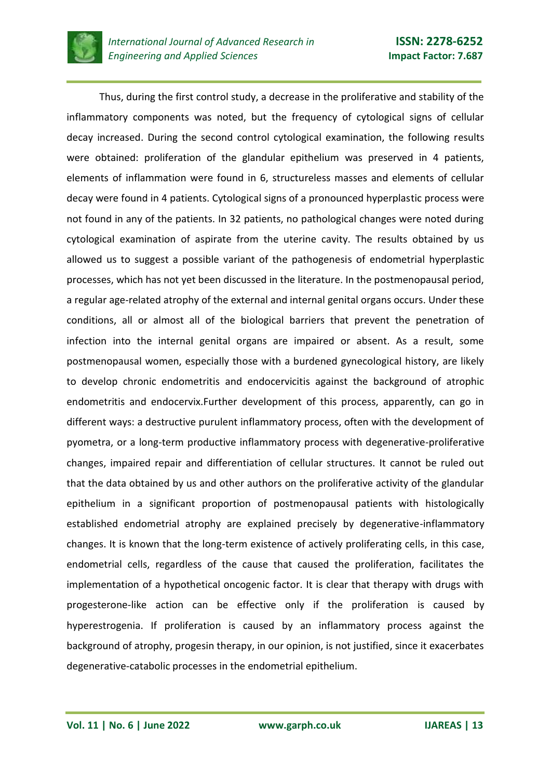

Thus, during the first control study, a decrease in the proliferative and stability of the inflammatory components was noted, but the frequency of cytological signs of cellular decay increased. During the second control cytological examination, the following results were obtained: proliferation of the glandular epithelium was preserved in 4 patients, elements of inflammation were found in 6, structureless masses and elements of cellular decay were found in 4 patients. Cytological signs of a pronounced hyperplastic process were not found in any of the patients. In 32 patients, no pathological changes were noted during cytological examination of aspirate from the uterine cavity. The results obtained by us allowed us to suggest a possible variant of the pathogenesis of endometrial hyperplastic processes, which has not yet been discussed in the literature. In the postmenopausal period, a regular age-related atrophy of the external and internal genital organs occurs. Under these conditions, all or almost all of the biological barriers that prevent the penetration of infection into the internal genital organs are impaired or absent. As a result, some postmenopausal women, especially those with a burdened gynecological history, are likely to develop chronic endometritis and endocervicitis against the background of atrophic endometritis and endocervix.Further development of this process, apparently, can go in different ways: a destructive purulent inflammatory process, often with the development of pyometra, or a long-term productive inflammatory process with degenerative-proliferative changes, impaired repair and differentiation of cellular structures. It cannot be ruled out that the data obtained by us and other authors on the proliferative activity of the glandular epithelium in a significant proportion of postmenopausal patients with histologically established endometrial atrophy are explained precisely by degenerative-inflammatory changes. It is known that the long-term existence of actively proliferating cells, in this case, endometrial cells, regardless of the cause that caused the proliferation, facilitates the implementation of a hypothetical oncogenic factor. It is clear that therapy with drugs with progesterone-like action can be effective only if the proliferation is caused by hyperestrogenia. If proliferation is caused by an inflammatory process against the background of atrophy, progesin therapy, in our opinion, is not justified, since it exacerbates degenerative-catabolic processes in the endometrial epithelium.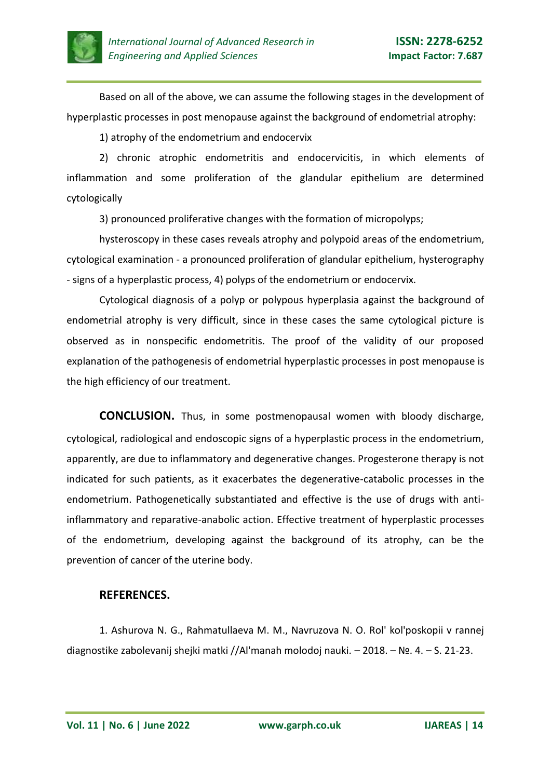

Based on all of the above, we can assume the following stages in the development of hyperplastic processes in post menopause against the background of endometrial atrophy:

1) atrophy of the endometrium and endocervix

2) chronic atrophic endometritis and endocervicitis, in which elements of inflammation and some proliferation of the glandular epithelium are determined cytologically

3) pronounced proliferative changes with the formation of micropolyps;

hysteroscopy in these cases reveals atrophy and polypoid areas of the endometrium, cytological examination - a pronounced proliferation of glandular epithelium, hysterography - signs of a hyperplastic process, 4) polyps of the endometrium or endocervix.

Cytological diagnosis of a polyp or polypous hyperplasia against the background of endometrial atrophy is very difficult, since in these cases the same cytological picture is observed as in nonspecific endometritis. The proof of the validity of our proposed explanation of the pathogenesis of endometrial hyperplastic processes in post menopause is the high efficiency of our treatment.

**CONCLUSION.** Thus, in some postmenopausal women with bloody discharge, cytological, radiological and endoscopic signs of a hyperplastic process in the endometrium, apparently, are due to inflammatory and degenerative changes. Progesterone therapy is not indicated for such patients, as it exacerbates the degenerative-catabolic processes in the endometrium. Pathogenetically substantiated and effective is the use of drugs with antiinflammatory and reparative-anabolic action. Effective treatment of hyperplastic processes of the endometrium, developing against the background of its atrophy, can be the prevention of cancer of the uterine body.

## **REFERENCES.**

1. Ashurova N. G., Rahmatullaeva M. M., Navruzova N. O. Rol' kol'poskopii v rannej diagnostike zabolevanij shejki matki //Al'manah molodoj nauki. – 2018. – №. 4. – S. 21-23.